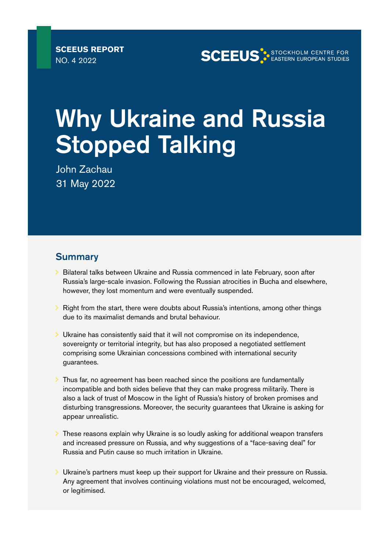**SCEEUS STOCKHOLM CENTRE FOR** 

# Why Ukraine and Russia **Stopped Talking**

John Zachau 31 May 2022

# **Summary**

- $\geq$  Bilateral talks between Ukraine and Russia commenced in late February, soon after Russia's large-scale invasion. Following the Russian atrocities in Bucha and elsewhere, however, they lost momentum and were eventually suspended.
- $\geq$  Right from the start, there were doubts about Russia's intentions, among other things due to its maximalist demands and brutal behaviour.
- $\geq$  Ukraine has consistently said that it will not compromise on its independence. sovereignty or territorial integrity, but has also proposed a negotiated settlement comprising some Ukrainian concessions combined with international security guarantees.
- $\geq$  Thus far, no agreement has been reached since the positions are fundamentally incompatible and both sides believe that they can make progress militarily. There is also a lack of trust of Moscow in the light of Russia's history of broken promises and disturbing transgressions. Moreover, the security guarantees that Ukraine is asking for appear unrealistic.
- $\geq$  These reasons explain why Ukraine is so loudly asking for additional weapon transfers and increased pressure on Russia, and why suggestions of a "face-saving deal" for Russia and Putin cause so much irritation in Ukraine.
- $\geq$  Ukraine's partners must keep up their support for Ukraine and their pressure on Russia. Any agreement that involves continuing violations must not be encouraged, welcomed, or legitimised.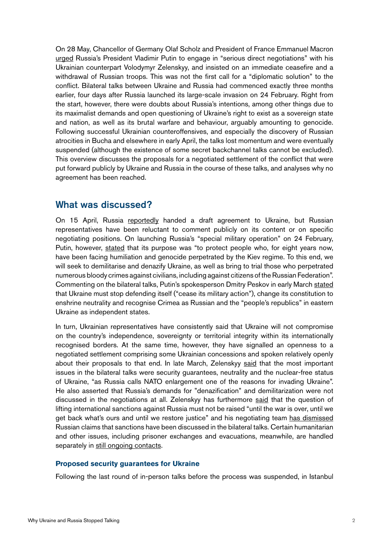On 28 May, Chancellor of Germany Olaf Scholz and President of France Emmanuel Macron [urged](https://www.bundeskanzler.de/bk-de/aktuelles/korrektur-bundeskanzler-scholz-und-frankreichs-praesident-macron-telefonieren-mit-dem-russischen-praesidenten-putin-2044478) Russia's President Vladimir Putin to engage in "serious direct negotiations" with his Ukrainian counterpart Volodymyr Zelenskyy, and insisted on an immediate ceasefire and a withdrawal of Russian troops. This was not the first call for a "diplomatic solution" to the conflict. Bilateral talks between Ukraine and Russia had commenced exactly three months earlier, four days after Russia launched its large-scale invasion on 24 February. Right from the start, however, there were doubts about Russia's intentions, among other things due to its maximalist demands and open questioning of Ukraine's right to exist as a sovereign state and nation, as well as its brutal warfare and behaviour, arguably amounting to genocide. Following successful Ukrainian counteroffensives, and especially the discovery of Russian atrocities in Bucha and elsewhere in early April, the talks lost momentum and were eventually suspended (although the existence of some secret backchannel talks cannot be excluded). This overview discusses the proposals for a negotiated settlement of the conflict that were put forward publicly by Ukraine and Russia in the course of these talks, and analyses why no agreement has been reached.

# What was discussed?

On 15 April, Russia [reportedly](https://tass.com/politics/1440599) handed a draft agreement to Ukraine, but Russian representatives have been reluctant to comment publicly on its content or on specific negotiating positions. On launching Russia's "special military operation" on 24 February, Putin, however, [stated](http://en.kremlin.ru/events/president/news/67843) that its purpose was "to protect people who, for eight years now, have been facing humiliation and genocide perpetrated by the Kiev regime. To this end, we will seek to demilitarise and denazify Ukraine, as well as bring to trial those who perpetrated numerous bloody crimes against civilians, including against citizens of the Russian Federation". Commenting on the bilateral talks, Putin's spokesperson Dmitry Peskov in early March [stated](https://www.reuters.com/world/kremlin-says-russian-military-action-will-stop-moment-if-ukraine-meets-2022-03-07/) that Ukraine must stop defending itself ("cease its military action"), change its constitution to enshrine neutrality and recognise Crimea as Russian and the "people's republics" in eastern Ukraine as independent states.

In turn, Ukrainian representatives have consistently said that Ukraine will not compromise on the country's independence, sovereignty or territorial integrity within its internationally recognised borders. At the same time, however, they have signalled an openness to a negotiated settlement comprising some Ukrainian concessions and spoken relatively openly about their proposals to that end. In late March, Zelenskyy [said](https://www.president.gov.ua/en/news/prezident-denacifikaciya-ta-demilitarizaciya-ukrayini-na-per-73901) that the most important issues in the bilateral talks were security guarantees, neutrality and the nuclear-free status of Ukraine, "as Russia calls NATO enlargement one of the reasons for invading Ukraine". He also asserted that Russia's demands for "denazification" and demilitarization were not discussed in the negotiations at all. Zelenskyy has furthermore [said](https://www.president.gov.ua/en/news/signali-z-peregovoriv-mozhna-nazvati-pozitivnimi-ale-voni-ne-73937) that the question of lifting international sanctions against Russia must not be raised "until the war is over, until we get back what's ours and until we restore justice" and his negotiating team [has dismissed](https://www.ukrinform.net/rubric-polytics/3471632-ukraine-not-discuss-lifting-sanctions-with-russia-podoliak.html) Russian claims that sanctions have been discussed in the bilateral talks. Certain humanitarian and other issues, including prisoner exchanges and evacuations, meanwhile, are handled separately in [still ongoing contacts.](https://www.president.gov.ua/en/news/mi-ne-mozhemo-piti-na-minsk-3-bo-ce-kvitok-na-vidkladenu-vij-75469)

#### **Proposed security guarantees for Ukraine**

Following the last round of in-person talks before the process was suspended, in Istanbul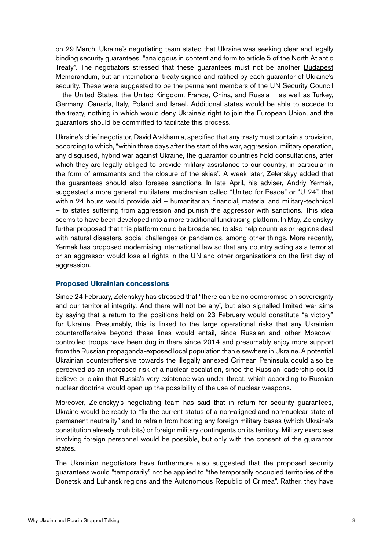on 29 March, Ukraine's negotiating team [stated](https://www.president.gov.ua/en/news/na-peregovorah-iz-rosiyeyu-ukrayinska-delegaciya-oficijno-pr-73933) that Ukraine was seeking clear and legally binding security guarantees, "analogous in content and form to article 5 of the North Atlantic Treaty". The negotiators stressed that these guarantees must not be another [Budapest](https://foreignpolicy.com/2022/03/21/nuclear-weapons-war-russia-ukraine-putin-nonproliferation-treaty-npt/) [Memorandum](https://foreignpolicy.com/2022/03/21/nuclear-weapons-war-russia-ukraine-putin-nonproliferation-treaty-npt/), but an international treaty signed and ratified by each guarantor of Ukraine's security. These were suggested to be the permanent members of the UN Security Council – the United States, the United Kingdom, France, China, and Russia – as well as Turkey, Germany, Canada, Italy, Poland and Israel. Additional states would be able to accede to the treaty, nothing in which would deny Ukraine's right to join the European Union, and the guarantors should be committed to facilitate this process.

Ukraine's chief negotiator, David Arakhamia, specified that any treaty must contain a provision, according to which, "within three days after the start of the war, aggression, military operation, any disguised, hybrid war against Ukraine, the guarantor countries hold consultations, after which they are legally obliged to provide military assistance to our country, in particular in the form of armaments and the closure of the skies". A week later, Zelenskyy [added](https://www.president.gov.ua/en/news/dlya-ukrayinskoyi-derzhavi-pitannya-bezpeki-maye-buti-na-per-74113) that the guarantees should also foresee sanctions. In late April, his adviser, Andriy Yermak, [suggested](https://time.com/6171833/ukraine-global-system-failed/) a more general multilateral mechanism called "United for Peace" or "U-24", that within 24 hours would provide aid – humanitarian, financial, material and military-technical – to states suffering from aggression and punish the aggressor with sanctions. This idea seems to have been developed into a more traditional [fundraising platform.](https://www.president.gov.ua/en/news/prezident-pidtrimav-iniciativu-pro-zasnuvannya-nacionalnogo-75141https://www.president.gov.ua/en/news/prezident-pidtrimav-iniciativu-pro-zasnuvannya-nacionalnogo-75141) In May, Zelenskyy [further](https://www.president.gov.ua/en/news/promova-prezidenta-ukrayini-volodimira-zelenskogo-v-chatham-74849) [proposed](https://www.president.gov.ua/en/news/mayemo-ne-boyatisya-stvoryuvati-novi-precedenti-vistup-prezi-75293) that this platform could be broadened to also help countries or regions deal with natural disasters, social challenges or pandemics, among other things. More recently, Yermak has [proposed](https://www.president.gov.ua/en/news/vistup-kerivnika-ofisu-prezidenta-ukrayini-andriya-yermaka-v-75185) modernising international law so that any country acting as a terrorist or an aggressor would lose all rights in the UN and other organisations on the first day of aggression.

#### **Proposed Ukrainian concessions**

Since 24 February, Zelenskyy has [stressed](https://www.president.gov.ua/en/news/signali-z-peregovoriv-mozhna-nazvati-pozitivnimi-ale-voni-ne-73937) that "there can be no compromise on sovereignty and our territorial integrity. And there will not be any", but also signalled limited war aims by [saying](https://www.president.gov.ua/en/news/dlya-ukrayinskoyi-derzhavi-pitannya-bezpeki-maye-buti-na-per-74113) that a return to the positions held on 23 February would constitute "a victory" for Ukraine. Presumably, this is linked to the large operational risks that any Ukrainian counteroffensive beyond these lines would entail, since Russian and other Moscowcontrolled troops have been dug in there since 2014 and presumably enjoy more support from the Russian propaganda-exposed local population than elsewhere in Ukraine. A potential Ukrainian counteroffensive towards the illegally annexed Crimean Peninsula could also be perceived as an increased risk of a nuclear escalation, since the Russian leadership could believe or claim that Russia's very existence was under threat, which according to Russian nuclear doctrine would open up the possibility of the use of nuclear weapons.

Moreover, Zelenskyy's negotiating team [has said](https://www.president.gov.ua/en/news/na-peregovorah-iz-rosiyeyu-ukrayinska-delegaciya-oficijno-pr-73933) that in return for security guarantees, Ukraine would be ready to "fix the current status of a non-aligned and non-nuclear state of permanent neutrality" and to refrain from hosting any foreign military bases (which Ukraine's constitution already prohibits) or foreign military contingents on its territory. Military exercises involving foreign personnel would be possible, but only with the consent of the guarantor states.

The Ukrainian negotiators [have furthermore also suggested](https://www.president.gov.ua/en/news/na-peregovorah-iz-rosiyeyu-ukrayinska-delegaciya-oficijno-pr-73933) that the proposed security guarantees would "temporarily" not be applied to "the temporarily occupied territories of the Donetsk and Luhansk regions and the Autonomous Republic of Crimea". Rather, they have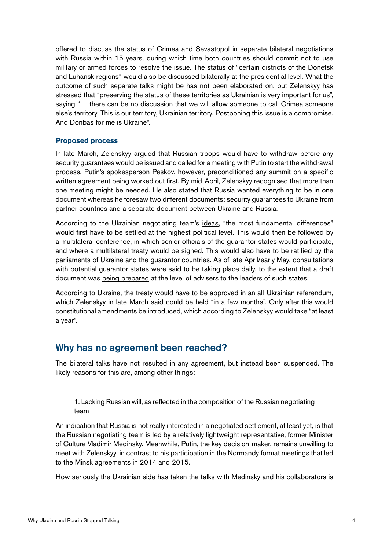offered to discuss the status of Crimea and Sevastopol in separate bilateral negotiations with Russia within 15 years, during which time both countries should commit not to use military or armed forces to resolve the issue. The status of "certain districts of the Donetsk and Luhansk regions" would also be discussed bilaterally at the presidential level. What the outcome of such separate talks might be has not been elaborated on, but Zelenskyy [has](https://www.president.gov.ua/en/news/dlya-ukrayinskoyi-derzhavi-pitannya-bezpeki-maye-buti-na-per-74113) [stressed](https://www.president.gov.ua/en/news/dlya-ukrayinskoyi-derzhavi-pitannya-bezpeki-maye-buti-na-per-74113) that "preserving the status of these territories as Ukrainian is very important for us", saying "… there can be no discussion that we will allow someone to call Crimea someone else's territory. This is our territory, Ukrainian territory. Postponing this issue is a compromise. And Donbas for me is Ukraine".

#### **Proposed process**

In late March, Zelenskyy [argued](https://www.president.gov.ua/en/news/prezident-denacifikaciya-ta-demilitarizaciya-ukrayini-na-per-73901) that Russian troops would have to withdraw before any security guarantees would be issued and called for a meeting with Putin to start the withdrawal process. Putin's spokesperson Peskov, however, [preconditioned](https://tass.com/politics/1431689) any summit on a specific written agreement being worked out first. By mid-April, Zelenskyy [recognised](https://www.president.gov.ua/en/news/sho-bilshe-rosiya-vdavatimetsya-do-eskalaciyi-menshe-shansiv-74381) that more than one meeting might be needed. He also stated that Russia wanted everything to be in one document whereas he foresaw two different documents: security guarantees to Ukraine from partner countries and a separate document between Ukraine and Russia.

According to the Ukrainian negotiating team's [ideas](https://www.president.gov.ua/en/news/na-peregovorah-iz-rosiyeyu-ukrayinska-delegaciya-oficijno-pr-73933), "the most fundamental differences" would first have to be settled at the highest political level. This would then be followed by a multilateral conference, in which senior officials of the guarantor states would participate, and where a multilateral treaty would be signed. This would also have to be ratified by the parliaments of Ukraine and the guarantor countries. As of late April/early May, consultations with potential guarantor states [were said](https://www.president.gov.ua/en/news/andrij-yermak-obgovoriv-z-prezidentom-fondu-pidtrimki-demokr-74801) to be taking place daily, to the extent that a draft document was [being prepared](https://www.president.gov.ua/en/news/volodimir-zelenskij-pragnemo-napracyuvati-dogovir-yakij-zabe-74637) at the level of advisers to the leaders of such states.

According to Ukraine, the treaty would have to be approved in an all-Ukrainian referendum, which Zelenskyy in late March [said](https://www.president.gov.ua/en/news/prezident-denacifikaciya-ta-demilitarizaciya-ukrayini-na-per-73901) could be held "in a few months". Only after this would constitutional amendments be introduced, which according to Zelenskyy would take "at least a year".

### Why has no agreement been reached?

The bilateral talks have not resulted in any agreement, but instead been suspended. The likely reasons for this are, among other things:

1. Lacking Russian will, as reflected in the composition of the Russian negotiating team

An indication that Russia is not really interested in a negotiated settlement, at least yet, is that the Russian negotiating team is led by a relatively lightweight representative, former Minister of Culture Vladimir Medinsky. Meanwhile, Putin, the key decision-maker, remains unwilling to meet with Zelenskyy, in contrast to his participation in the Normandy format meetings that led to the Minsk agreements in 2014 and 2015.

How seriously the Ukrainian side has taken the talks with Medinsky and his collaborators is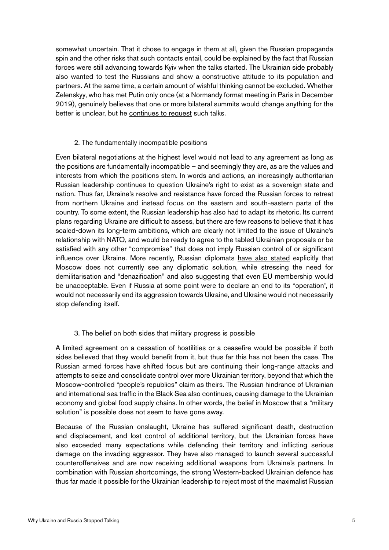somewhat uncertain. That it chose to engage in them at all, given the Russian propaganda spin and the other risks that such contacts entail, could be explained by the fact that Russian forces were still advancing towards Kyiv when the talks started. The Ukrainian side probably also wanted to test the Russians and show a constructive attitude to its population and partners. At the same time, a certain amount of wishful thinking cannot be excluded. Whether Zelenskyy, who has met Putin only once (at a Normandy format meeting in Paris in December 2019), genuinely believes that one or more bilateral summits would change anything for the better is unclear, but he [continues to request](https://www.president.gov.ua/en/news/peremogi-mozhna-dosyagti-lishe-v-boyu-oformlennya-kincya-vij-75225) such talks.

#### 2. The fundamentally incompatible positions

Even bilateral negotiations at the highest level would not lead to any agreement as long as the positions are fundamentally incompatible – and seemingly they are, as are the values and interests from which the positions stem. In words and actions, an increasingly authoritarian Russian leadership continues to question Ukraine's right to exist as a sovereign state and nation. Thus far, Ukraine's resolve and resistance have forced the Russian forces to retreat from northern Ukraine and instead focus on the eastern and south-eastern parts of the country. To some extent, the Russian leadership has also had to adapt its rhetoric. Its current plans regarding Ukraine are difficult to assess, but there are few reasons to believe that it has scaled-down its long-term ambitions, which are clearly not limited to the issue of Ukraine's relationship with NATO, and would be ready to agree to the tabled Ukrainian proposals or be satisfied with any other "compromise" that does not imply Russian control of or significant influence over Ukraine. More recently, Russian diplomats [have also stated](https://www.kommersant.ru/doc/5348661) explicitly that Moscow does not currently see any diplomatic solution, while stressing the need for demilitarisation and "denazification" and also suggesting that even EU membership would be unacceptable. Even if Russia at some point were to declare an end to its "operation", it would not necessarily end its aggression towards Ukraine, and Ukraine would not necessarily stop defending itself.

#### 3. The belief on both sides that military progress is possible

A limited agreement on a cessation of hostilities or a ceasefire would be possible if both sides believed that they would benefit from it, but thus far this has not been the case. The Russian armed forces have shifted focus but are continuing their long-range attacks and attempts to seize and consolidate control over more Ukrainian territory, beyond that which the Moscow-controlled "people's republics" claim as theirs. The Russian hindrance of Ukrainian and international sea traffic in the Black Sea also continues, causing damage to the Ukrainian economy and global food supply chains. In other words, the belief in Moscow that a "military solution" is possible does not seem to have gone away.

Because of the Russian onslaught, Ukraine has suffered significant death, destruction and displacement, and lost control of additional territory, but the Ukrainian forces have also exceeded many expectations while defending their territory and inflicting serious damage on the invading aggressor. They have also managed to launch several successful counteroffensives and are now receiving additional weapons from Ukraine's partners. In combination with Russian shortcomings, the strong Western-backed Ukrainian defence has thus far made it possible for the Ukrainian leadership to reject most of the maximalist Russian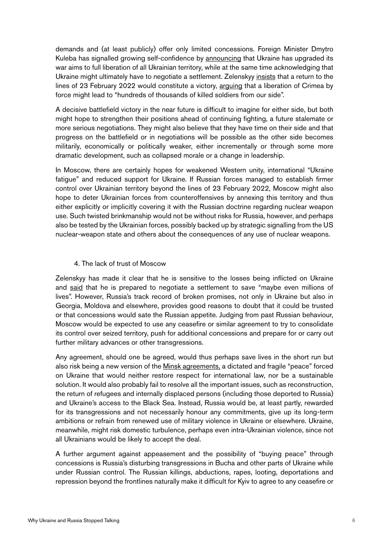demands and (at least publicly) offer only limited concessions. Foreign Minister Dmytro Kuleba has signalled growing self-confidence by [announcing](https://www.ft.com/content/8db0d387-fb41-4142-b78f-6619d36d8be0) that Ukraine has upgraded its war aims to full liberation of all Ukrainian territory, while at the same time acknowledging that Ukraine might ultimately have to negotiate a settlement. Zelenskyy [insists](https://www.eurointegration.com.ua/rus/news/2022/05/21/7139810/) that a return to the lines of 23 February 2022 would constitute a victory, [arguing](https://news.yahoo.com/zelensky-liberating-crimea-cost-hundreds-141900469.html) that a liberation of Crimea by force might lead to "hundreds of thousands of killed soldiers from our side".

A decisive battlefield victory in the near future is difficult to imagine for either side, but both might hope to strengthen their positions ahead of continuing fighting, a future stalemate or more serious negotiations. They might also believe that they have time on their side and that progress on the battlefield or in negotiations will be possible as the other side becomes militarily, economically or politically weaker, either incrementally or through some more dramatic development, such as collapsed morale or a change in leadership.

In Moscow, there are certainly hopes for weakened Western unity, international "Ukraine fatigue" and reduced support for Ukraine. If Russian forces managed to establish firmer control over Ukrainian territory beyond the lines of 23 February 2022, Moscow might also hope to deter Ukrainian forces from counteroffensives by annexing this territory and thus either explicitly or implicitly covering it with the Russian doctrine regarding nuclear weapon use. Such twisted brinkmanship would not be without risks for Russia, however, and perhaps also be tested by the Ukrainian forces, possibly backed up by strategic signalling from the US nuclear-weapon state and others about the consequences of any use of nuclear weapons.

#### 4. The lack of trust of Moscow

Zelenskyy has made it clear that he is sensitive to the losses being inflicted on Ukraine and [said](https://www.president.gov.ua/en/news/ukrayina-gotova-provoditi-peregovori-z-rosiyeyu-shob-zberegt-74501) that he is prepared to negotiate a settlement to save "maybe even millions of lives". However, Russia's track record of broken promises, not only in Ukraine but also in Georgia, Moldova and elsewhere, provides good reasons to doubt that it could be trusted or that concessions would sate the Russian appetite. Judging from past Russian behaviour, Moscow would be expected to use any ceasefire or similar agreement to try to consolidate its control over seized territory, push for additional concessions and prepare for or carry out further military advances or other transgressions.

Any agreement, should one be agreed, would thus perhaps save lives in the short run but also risk being a new version of the [Minsk agreements,](https://sceeus.se/publikationer/russias-dictated-non-peace-for-ukraine-in-2014-2022/) a dictated and fragile "peace" forced on Ukraine that would neither restore respect for international law, nor be a sustainable solution. It would also probably fail to resolve all the important issues, such as reconstruction, the return of refugees and internally displaced persons (including those deported to Russia) and Ukraine's access to the Black Sea. Instead, Russia would be, at least partly, rewarded for its transgressions and not necessarily honour any commitments, give up its long-term ambitions or refrain from renewed use of military violence in Ukraine or elsewhere. Ukraine, meanwhile, might risk domestic turbulence, perhaps even intra-Ukrainian violence, since not all Ukrainians would be likely to accept the deal.

A further argument against appeasement and the possibility of "buying peace" through concessions is Russia's disturbing transgressions in Bucha and other parts of Ukraine while under Russian control. The Russian killings, abductions, rapes, looting, deportations and repression beyond the frontlines naturally make it difficult for Kyiv to agree to any ceasefire or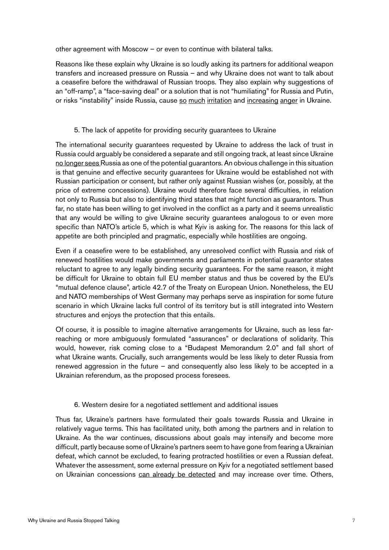other agreement with Moscow – or even to continue with bilateral talks.

Reasons like these explain why Ukraine is so loudly asking its partners for additional weapon transfers and increased pressure on Russia – and why Ukraine does not want to talk about a ceasefire before the withdrawal of Russian troops. They also explain why suggestions of an "off-ramp", a "face-saving deal" or a solution that is not "humiliating" for Russia and Putin, or risks "instability" inside Russia, cause [so](https://www.politico.eu/article/europes-leaders-fall-out-of-key-on-ukraine/) [much](https://www.president.gov.ua/en/news/vistup-kerivnika-ofisu-prezidenta-ukrayini-andriya-yermaka-v-75213) [irritation](https://www.reuters.com/world/europe/ukraine-rules-out-ceasefire-fighting-intensifies-donbas-2022-05-22/) and [increasing](https://www.president.gov.ua/en/news/ti-hto-radit-ukrayini-viddati-rosiyi-teritoriyi-ne-hochut-ba-75377) [anger](https://www.president.gov.ua/en/news/mi-ne-mozhemo-piti-na-minsk-3-bo-ce-kvitok-na-vidkladenu-vij-75469) in Ukraine.

#### 5. The lack of appetite for providing security guarantees to Ukraine

The international security guarantees requested by Ukraine to address the lack of trust in Russia could arguably be considered a separate and still ongoing track, at least since Ukraine [no longer sees R](https://www.president.gov.ua/en/news/vistup-kerivnika-ofisu-prezidenta-ukrayini-andriya-yermaka-v-75185)ussia as one of the potential guarantors. An obvious challenge in this situation is that genuine and effective security guarantees for Ukraine would be established not with Russian participation or consent, but rather only against Russian wishes (or, possibly, at the price of extreme concessions). Ukraine would therefore face several difficulties, in relation not only to Russia but also to identifying third states that might function as guarantors. Thus far, no state has been willing to get involved in the conflict as a party and it seems unrealistic that any would be willing to give Ukraine security guarantees analogous to or even more specific than NATO's article 5, which is what Kyiv is asking for. The reasons for this lack of appetite are both principled and pragmatic, especially while hostilities are ongoing.

Even if a ceasefire were to be established, any unresolved conflict with Russia and risk of renewed hostilities would make governments and parliaments in potential guarantor states reluctant to agree to any legally binding security guarantees. For the same reason, it might be difficult for Ukraine to obtain full EU member status and thus be covered by the EU's "mutual defence clause", article 42.7 of the Treaty on European Union. Nonetheless, the EU and NATO memberships of West Germany may perhaps serve as inspiration for some future scenario in which Ukraine lacks full control of its territory but is still integrated into Western structures and enjoys the protection that this entails.

Of course, it is possible to imagine alternative arrangements for Ukraine, such as less farreaching or more ambiguously formulated "assurances" or declarations of solidarity. This would, however, risk coming close to a "Budapest Memorandum 2.0" and fall short of what Ukraine wants. Crucially, such arrangements would be less likely to deter Russia from renewed aggression in the future – and consequently also less likely to be accepted in a Ukrainian referendum, as the proposed process foresees.

#### 6. Western desire for a negotiated settlement and additional issues

Thus far, Ukraine's partners have formulated their goals towards Russia and Ukraine in relatively vague terms. This has facilitated unity, both among the partners and in relation to Ukraine. As the war continues, discussions about goals may intensify and become more difficult, partly because some of Ukraine's partners seem to have gone from fearing a Ukrainian defeat, which cannot be excluded, to fearing protracted hostilities or even a Russian defeat. Whatever the assessment, some external pressure on Kyiv for a negotiated settlement based on Ukrainian concessions [can already be detected](https://www.wsj.com/livecoverage/russia-ukraine-latest-news-2022-05-20/card/italy-circulates-4-point-peace-plan-h2o9EfwULf6P1mwDbjdn) and may increase over time. Others,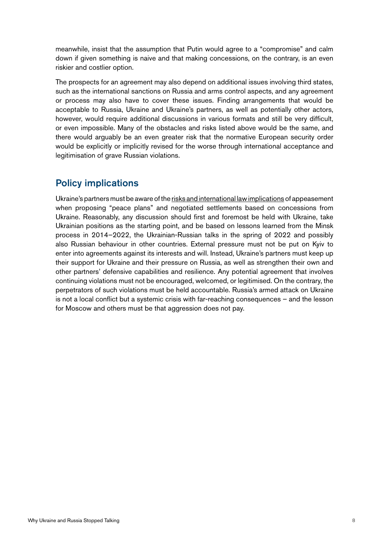meanwhile, insist that the assumption that Putin would agree to a "compromise" and calm down if given something is naive and that making concessions, on the contrary, is an even riskier and costlier option.

The prospects for an agreement may also depend on additional issues involving third states, such as the international sanctions on Russia and arms control aspects, and any agreement or process may also have to cover these issues. Finding arrangements that would be acceptable to Russia, Ukraine and Ukraine's partners, as well as potentially other actors, however, would require additional discussions in various formats and still be very difficult, or even impossible. Many of the obstacles and risks listed above would be the same, and there would arguably be an even greater risk that the normative European security order would be explicitly or implicitly revised for the worse through international acceptance and legitimisation of grave Russian violations.

# Policy implications

Ukraine's partners must be aware of the [risks and international law implications](https://sceeus.se/publikationer/reflections-on-possible-russian-ukrainian-agreements-tragic-dilemmas-and-no-cause-for-optimism/) of appeasement when proposing "peace plans" and negotiated settlements based on concessions from Ukraine. Reasonably, any discussion should first and foremost be held with Ukraine, take Ukrainian positions as the starting point, and be based on lessons learned from the Minsk process in 2014–2022, the Ukrainian-Russian talks in the spring of 2022 and possibly also Russian behaviour in other countries. External pressure must not be put on Kyiv to enter into agreements against its interests and will. Instead, Ukraine's partners must keep up their support for Ukraine and their pressure on Russia, as well as strengthen their own and other partners' defensive capabilities and resilience. Any potential agreement that involves continuing violations must not be encouraged, welcomed, or legitimised. On the contrary, the perpetrators of such violations must be held accountable. Russia's armed attack on Ukraine is not a local conflict but a systemic crisis with far-reaching consequences – and the lesson for Moscow and others must be that aggression does not pay.